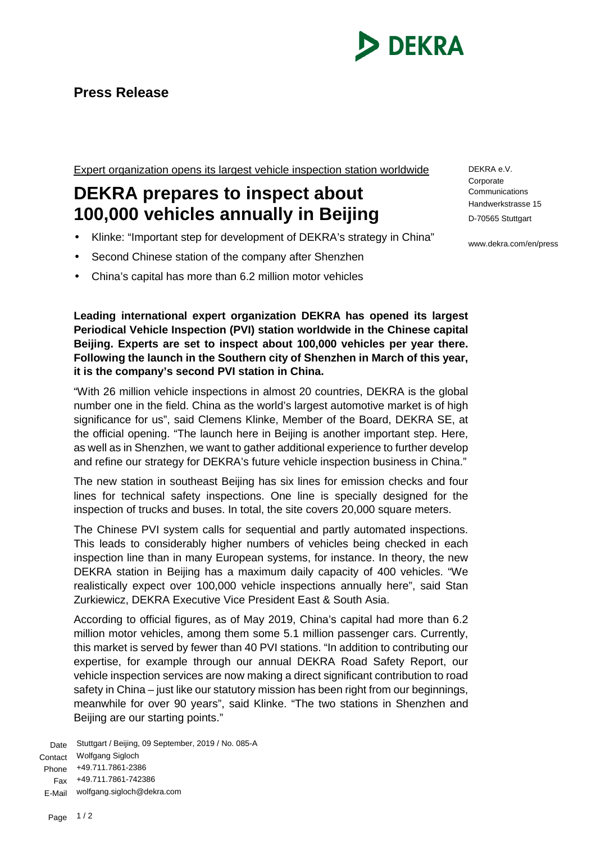

## **Press Release**

Expert organization opens its largest vehicle inspection station worldwide

## **DEKRA prepares to inspect about 100,000 vehicles annually in Beijing**

- Klinke: "Important step for development of DEKRA's strategy in China"
- Second Chinese station of the company after Shenzhen
- China's capital has more than 6.2 million motor vehicles

**Leading international expert organization DEKRA has opened its largest Periodical Vehicle Inspection (PVI) station worldwide in the Chinese capital Beijing. Experts are set to inspect about 100,000 vehicles per year there. Following the launch in the Southern city of Shenzhen in March of this year, it is the company's second PVI station in China.**

"With 26 million vehicle inspections in almost 20 countries, DEKRA is the global number one in the field. China as the world's largest automotive market is of high significance for us", said Clemens Klinke, Member of the Board, DEKRA SE, at the official opening. "The launch here in Beijing is another important step. Here, as well as in Shenzhen, we want to gather additional experience to further develop and refine our strategy for DEKRA's future vehicle inspection business in China."

The new station in southeast Beijing has six lines for emission checks and four lines for technical safety inspections. One line is specially designed for the inspection of trucks and buses. In total, the site covers 20,000 square meters.

The Chinese PVI system calls for sequential and partly automated inspections. This leads to considerably higher numbers of vehicles being checked in each inspection line than in many European systems, for instance. In theory, the new DEKRA station in Beijing has a maximum daily capacity of 400 vehicles. "We realistically expect over 100,000 vehicle inspections annually here", said Stan Zurkiewicz, DEKRA Executive Vice President East & South Asia.

According to official figures, as of May 2019, China's capital had more than 6.2 million motor vehicles, among them some 5.1 million passenger cars. Currently, this market is served by fewer than 40 PVI stations. "In addition to contributing our expertise, for example through our annual DEKRA Road Safety Report, our vehicle inspection services are now making a direct significant contribution to road safety in China – just like our statutory mission has been right from our beginnings, meanwhile for over 90 years", said Klinke. "The two stations in Shenzhen and Beijing are our starting points."

Date Stuttgart / Beijing, 09 September, 2019 / No. 085-A Contact Wolfgang Sigloch Phone +49.711.7861-2386 Fax +49.711.7861-742386 E-Mail wolfgang.sigloch@dekra.com

DEKRA e.V. **Corporate Communications** Handwerkstrasse 15 D-70565 Stuttgart

www.dekra.com/en/press